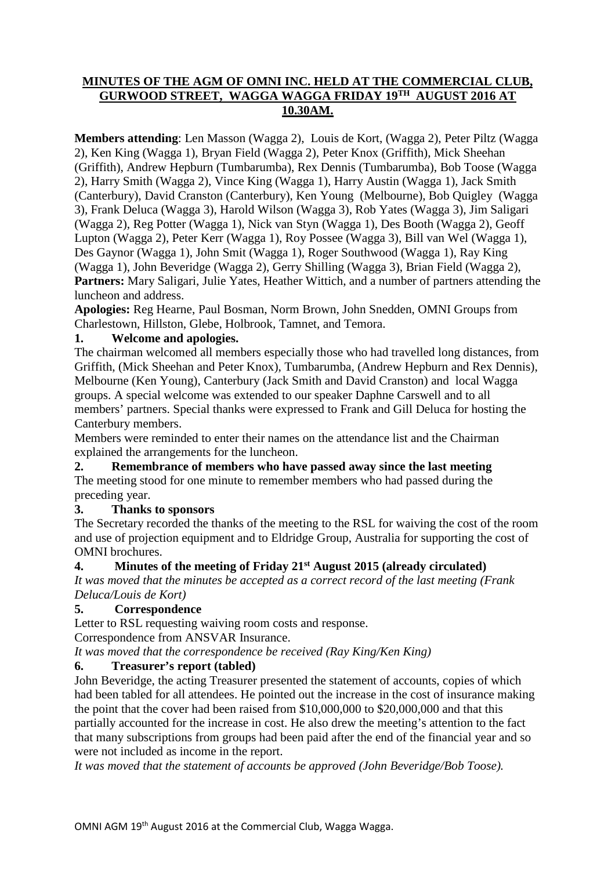# **MINUTES OF THE AGM OF OMNI INC. HELD AT THE COMMERCIAL CLUB, GURWOOD STREET, WAGGA WAGGA FRIDAY 19TH AUGUST 2016 AT 10.30AM.**

**Members attending**: Len Masson (Wagga 2), Louis de Kort, (Wagga 2), Peter Piltz (Wagga 2), Ken King (Wagga 1), Bryan Field (Wagga 2), Peter Knox (Griffith), Mick Sheehan (Griffith), Andrew Hepburn (Tumbarumba), Rex Dennis (Tumbarumba), Bob Toose (Wagga 2), Harry Smith (Wagga 2), Vince King (Wagga 1), Harry Austin (Wagga 1), Jack Smith (Canterbury), David Cranston (Canterbury), Ken Young (Melbourne), Bob Quigley (Wagga 3), Frank Deluca (Wagga 3), Harold Wilson (Wagga 3), Rob Yates (Wagga 3), Jim Saligari (Wagga 2), Reg Potter (Wagga 1), Nick van Styn (Wagga 1), Des Booth (Wagga 2), Geoff Lupton (Wagga 2), Peter Kerr (Wagga 1), Roy Possee (Wagga 3), Bill van Wel (Wagga 1), Des Gaynor (Wagga 1), John Smit (Wagga 1), Roger Southwood (Wagga 1), Ray King (Wagga 1), John Beveridge (Wagga 2), Gerry Shilling (Wagga 3), Brian Field (Wagga 2), **Partners:** Mary Saligari, Julie Yates, Heather Wittich, and a number of partners attending the luncheon and address.

**Apologies:** Reg Hearne, Paul Bosman, Norm Brown, John Snedden, OMNI Groups from Charlestown, Hillston, Glebe, Holbrook, Tamnet, and Temora.

# **1. Welcome and apologies.**

The chairman welcomed all members especially those who had travelled long distances, from Griffith, (Mick Sheehan and Peter Knox), Tumbarumba, (Andrew Hepburn and Rex Dennis), Melbourne (Ken Young), Canterbury (Jack Smith and David Cranston) and local Wagga groups. A special welcome was extended to our speaker Daphne Carswell and to all members' partners. Special thanks were expressed to Frank and Gill Deluca for hosting the Canterbury members.

Members were reminded to enter their names on the attendance list and the Chairman explained the arrangements for the luncheon.

## **2. Remembrance of members who have passed away since the last meeting**

The meeting stood for one minute to remember members who had passed during the preceding year.

## **3. Thanks to sponsors**

The Secretary recorded the thanks of the meeting to the RSL for waiving the cost of the room and use of projection equipment and to Eldridge Group, Australia for supporting the cost of OMNI brochures.

# **4. Minutes of the meeting of Friday 21st August 2015 (already circulated)**

*It was moved that the minutes be accepted as a correct record of the last meeting (Frank Deluca/Louis de Kort)*

## **5. Correspondence**

Letter to RSL requesting waiving room costs and response.

Correspondence from ANSVAR Insurance.

*It was moved that the correspondence be received (Ray King/Ken King)*

# **6. Treasurer's report (tabled)**

John Beveridge, the acting Treasurer presented the statement of accounts, copies of which had been tabled for all attendees. He pointed out the increase in the cost of insurance making the point that the cover had been raised from \$10,000,000 to \$20,000,000 and that this partially accounted for the increase in cost. He also drew the meeting's attention to the fact that many subscriptions from groups had been paid after the end of the financial year and so were not included as income in the report.

*It was moved that the statement of accounts be approved (John Beveridge/Bob Toose).*